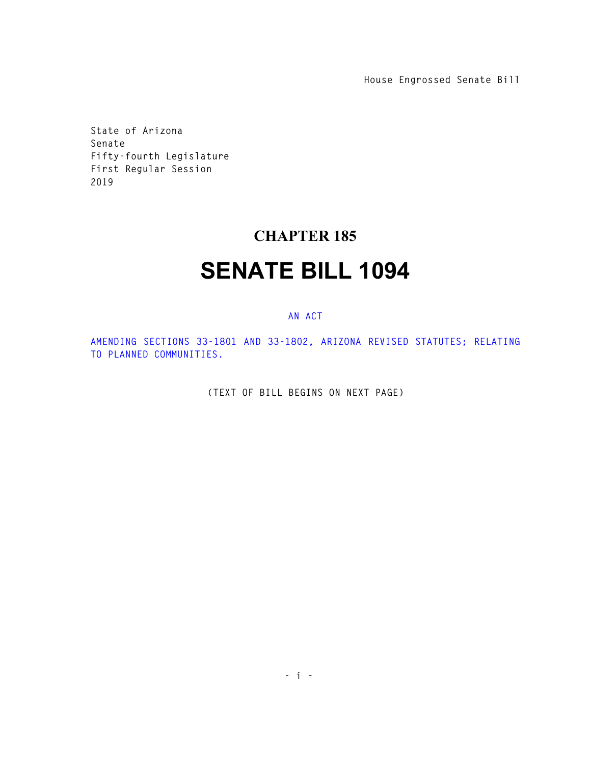**House Engrossed Senate Bill** 

**State of Arizona Senate Fifty-fourth Legislature First Regular Session 2019** 

## **CHAPTER 185**

## **SENATE BILL 1094**

## **AN ACT**

**AMENDING SECTIONS 33-1801 AND 33-1802, ARIZONA REVISED STATUTES; RELATING TO PLANNED COMMUNITIES.** 

**(TEXT OF BILL BEGINS ON NEXT PAGE)**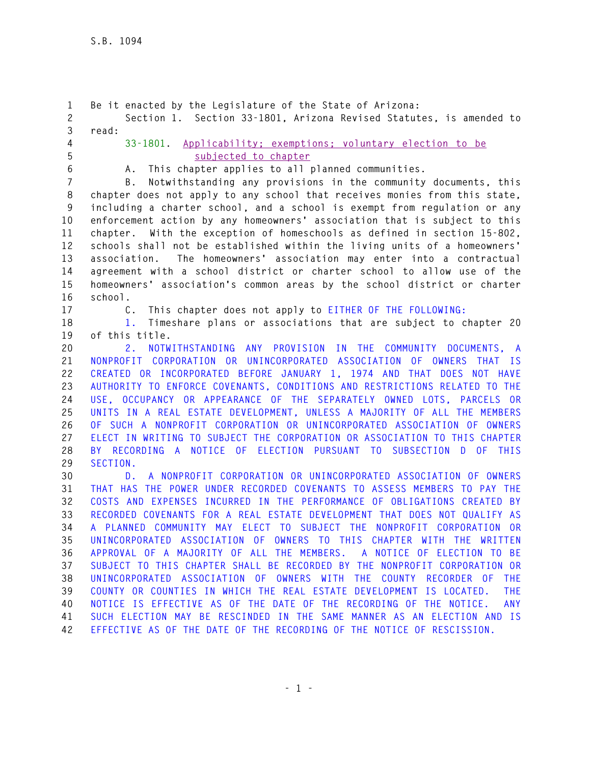**1 Be it enacted by the Legislature of the State of Arizona: 2 Section 1. Section 33-1801, Arizona Revised Statutes, is amended to 3 read: 4 33-1801. Applicability; exemptions; voluntary election to be 5 subjected to chapter 6 A. This chapter applies to all planned communities. 7 B. Notwithstanding any provisions in the community documents, this 8 chapter does not apply to any school that receives monies from this state, 9 including a charter school, and a school is exempt from regulation or any 10 enforcement action by any homeowners' association that is subject to this 11 chapter. With the exception of homeschools as defined in section 15-802, 12 schools shall not be established within the living units of a homeowners' 13 association. The homeowners' association may enter into a contractual 14 agreement with a school district or charter school to allow use of the 15 homeowners' association's common areas by the school district or charter 16 school. 17 C. This chapter does not apply to EITHER OF THE FOLLOWING: 18 1. Timeshare plans or associations that are subject to chapter 20 19 of this title. 20 2. NOTWITHSTANDING ANY PROVISION IN THE COMMUNITY DOCUMENTS, A 21 NONPROFIT CORPORATION OR UNINCORPORATED ASSOCIATION OF OWNERS THAT IS 22 CREATED OR INCORPORATED BEFORE JANUARY 1, 1974 AND THAT DOES NOT HAVE 23 AUTHORITY TO ENFORCE COVENANTS, CONDITIONS AND RESTRICTIONS RELATED TO THE 24 USE, OCCUPANCY OR APPEARANCE OF THE SEPARATELY OWNED LOTS, PARCELS OR 25 UNITS IN A REAL ESTATE DEVELOPMENT, UNLESS A MAJORITY OF ALL THE MEMBERS 26 OF SUCH A NONPROFIT CORPORATION OR UNINCORPORATED ASSOCIATION OF OWNERS 27 ELECT IN WRITING TO SUBJECT THE CORPORATION OR ASSOCIATION TO THIS CHAPTER 28 BY RECORDING A NOTICE OF ELECTION PURSUANT TO SUBSECTION D OF THIS 29 SECTION. 30 D. A NONPROFIT CORPORATION OR UNINCORPORATED ASSOCIATION OF OWNERS 31 THAT HAS THE POWER UNDER RECORDED COVENANTS TO ASSESS MEMBERS TO PAY THE 32 COSTS AND EXPENSES INCURRED IN THE PERFORMANCE OF OBLIGATIONS CREATED BY 33 RECORDED COVENANTS FOR A REAL ESTATE DEVELOPMENT THAT DOES NOT QUALIFY AS 34 A PLANNED COMMUNITY MAY ELECT TO SUBJECT THE NONPROFIT CORPORATION OR 35 UNINCORPORATED ASSOCIATION OF OWNERS TO THIS CHAPTER WITH THE WRITTEN 36 APPROVAL OF A MAJORITY OF ALL THE MEMBERS. A NOTICE OF ELECTION TO BE 37 SUBJECT TO THIS CHAPTER SHALL BE RECORDED BY THE NONPROFIT CORPORATION OR 38 UNINCORPORATED ASSOCIATION OF OWNERS WITH THE COUNTY RECORDER OF THE 39 COUNTY OR COUNTIES IN WHICH THE REAL ESTATE DEVELOPMENT IS LOCATED. THE 40 NOTICE IS EFFECTIVE AS OF THE DATE OF THE RECORDING OF THE NOTICE. ANY 41 SUCH ELECTION MAY BE RESCINDED IN THE SAME MANNER AS AN ELECTION AND IS 42 EFFECTIVE AS OF THE DATE OF THE RECORDING OF THE NOTICE OF RESCISSION.**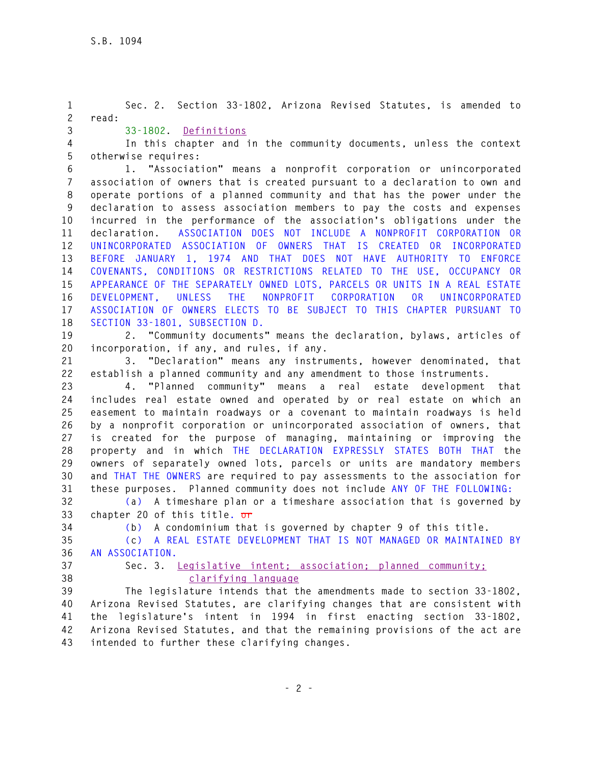**- 2 - 1 Sec. 2. Section 33-1802, Arizona Revised Statutes, is amended to 2 read: 3 33-1802. Definitions 4 In this chapter and in the community documents, unless the context 5 otherwise requires: 6 1. "Association" means a nonprofit corporation or unincorporated 7 association of owners that is created pursuant to a declaration to own and 8 operate portions of a planned community and that has the power under the 9 declaration to assess association members to pay the costs and expenses 10 incurred in the performance of the association's obligations under the 11 declaration. ASSOCIATION DOES NOT INCLUDE A NONPROFIT CORPORATION OR 12 UNINCORPORATED ASSOCIATION OF OWNERS THAT IS CREATED OR INCORPORATED 13 BEFORE JANUARY 1, 1974 AND THAT DOES NOT HAVE AUTHORITY TO ENFORCE 14 COVENANTS, CONDITIONS OR RESTRICTIONS RELATED TO THE USE, OCCUPANCY OR 15 APPEARANCE OF THE SEPARATELY OWNED LOTS, PARCELS OR UNITS IN A REAL ESTATE 16 DEVELOPMENT, UNLESS THE NONPROFIT CORPORATION OR UNINCORPORATED 17 ASSOCIATION OF OWNERS ELECTS TO BE SUBJECT TO THIS CHAPTER PURSUANT TO 18 SECTION 33-1801, SUBSECTION D. 19 2. "Community documents" means the declaration, bylaws, articles of 20 incorporation, if any, and rules, if any. 21 3. "Declaration" means any instruments, however denominated, that 22 establish a planned community and any amendment to those instruments. 23 4. "Planned community" means a real estate development that 24 includes real estate owned and operated by or real estate on which an 25 easement to maintain roadways or a covenant to maintain roadways is held 26 by a nonprofit corporation or unincorporated association of owners, that 27 is created for the purpose of managing, maintaining or improving the 28 property and in which THE DECLARATION EXPRESSLY STATES BOTH THAT the 29 owners of separately owned lots, parcels or units are mandatory members 30 and THAT THE OWNERS are required to pay assessments to the association for 31 these purposes. Planned community does not include ANY OF THE FOLLOWING: 32 (a) A timeshare plan or a timeshare association that is governed by 33 chapter 20 of this title. or 34 (b) A condominium that is governed by chapter 9 of this title. 35 (c) A REAL ESTATE DEVELOPMENT THAT IS NOT MANAGED OR MAINTAINED BY 36 AN ASSOCIATION. 37 Sec. 3. Legislative intent; association; planned community; 38 clarifying language 39 The legislature intends that the amendments made to section 33-1802, 40 Arizona Revised Statutes, are clarifying changes that are consistent with 41 the legislature's intent in 1994 in first enacting section 33-1802, 42 Arizona Revised Statutes, and that the remaining provisions of the act are 43 intended to further these clarifying changes.**